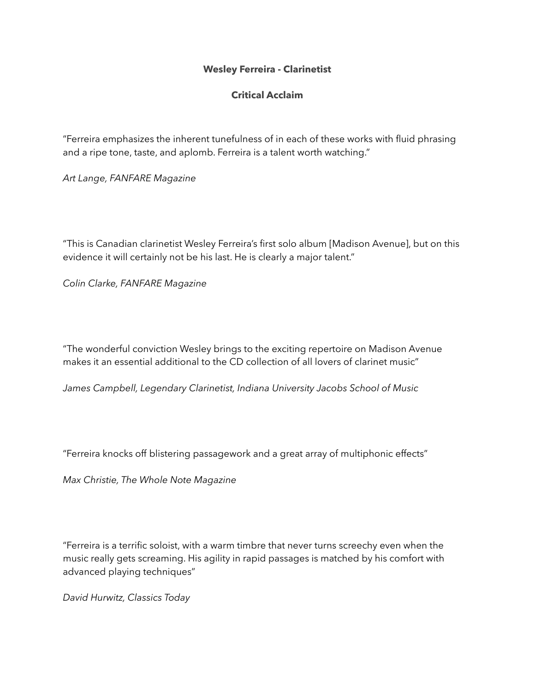## **Wesley Ferreira - Clarinetist**

## **Critical Acclaim**

"Ferreira emphasizes the inherent tunefulness of in each of these works with fluid phrasing and a ripe tone, taste, and aplomb. Ferreira is a talent worth watching."

*Art Lange, FANFARE Magazine*

"This is Canadian clarinetist Wesley Ferreira's first solo album [Madison Avenue], but on this evidence it will certainly not be his last. He is clearly a major talent."

*Colin Clarke, FANFARE Magazine*

"The wonderful conviction Wesley brings to the exciting repertoire on Madison Avenue makes it an essential additional to the CD collection of all lovers of clarinet music"

*James Campbell, Legendary Clarinetist, Indiana University Jacobs School of Music*

"Ferreira knocks off blistering passagework and a great array of multiphonic effects"

*Max Christie, The Whole Note Magazine*

"Ferreira is a terrific soloist, with a warm timbre that never turns screechy even when the music really gets screaming. His agility in rapid passages is matched by his comfort with advanced playing techniques"

*David Hurwitz, Classics Today*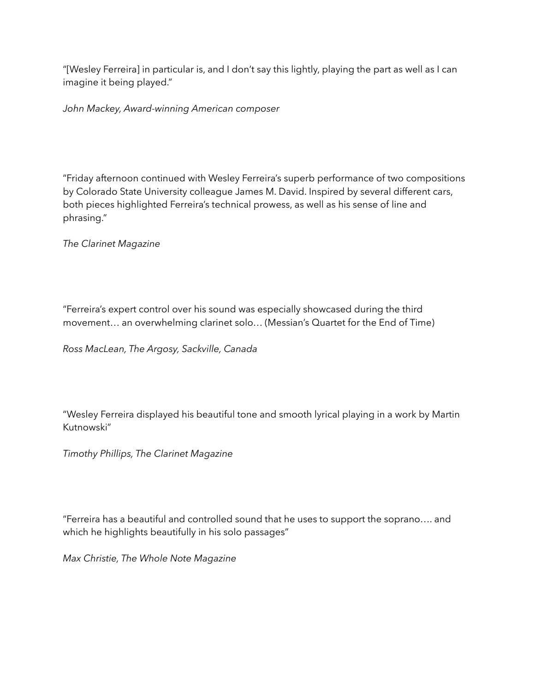"[Wesley Ferreira] in particular is, and I don't say this lightly, playing the part as well as I can imagine it being played."

*John Mackey, Award-winning American composer* 

"Friday afternoon continued with Wesley Ferreira's superb performance of two compositions by Colorado State University colleague James M. David. Inspired by several different cars, both pieces highlighted Ferreira's technical prowess, as well as his sense of line and phrasing."

*The Clarinet Magazine*

"Ferreira's expert control over his sound was especially showcased during the third movement… an overwhelming clarinet solo… (Messian's Quartet for the End of Time)

*Ross MacLean, The Argosy, Sackville, Canada*

"Wesley Ferreira displayed his beautiful tone and smooth lyrical playing in a work by Martin Kutnowski"

*Timothy Phillips, The Clarinet Magazine*

"Ferreira has a beautiful and controlled sound that he uses to support the soprano…. and which he highlights beautifully in his solo passages"

*Max Christie, The Whole Note Magazine*